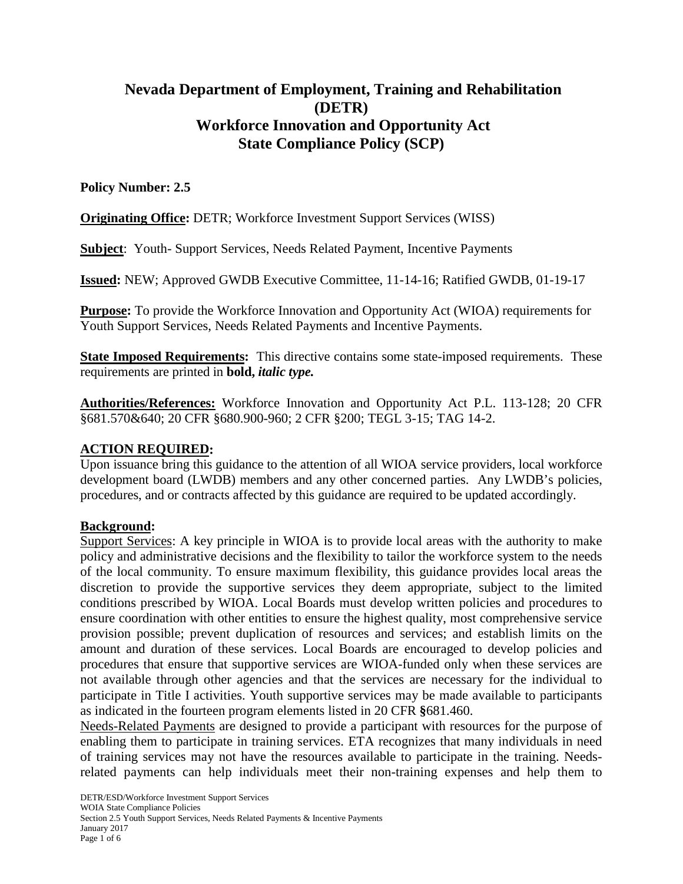# **Nevada Department of Employment, Training and Rehabilitation (DETR) Workforce Innovation and Opportunity Act State Compliance Policy (SCP)**

# **Policy Number: 2.5**

**Originating Office:** DETR; Workforce Investment Support Services (WISS)

**Subject**: Youth- Support Services, Needs Related Payment, Incentive Payments

**Issued:** NEW; Approved GWDB Executive Committee, 11-14-16; Ratified GWDB, 01-19-17

**Purpose:** To provide the Workforce Innovation and Opportunity Act (WIOA) requirements for Youth Support Services, Needs Related Payments and Incentive Payments.

**State Imposed Requirements:** This directive contains some state-imposed requirements. These requirements are printed in **bold,** *italic type.*

**Authorities/References:** Workforce Innovation and Opportunity Act P.L. 113-128; 20 CFR §681.570&640; 20 CFR §680.900-960; 2 CFR §200; TEGL 3-15; TAG 14-2.

### **ACTION REQUIRED:**

Upon issuance bring this guidance to the attention of all WIOA service providers, local workforce development board (LWDB) members and any other concerned parties. Any LWDB's policies, procedures, and or contracts affected by this guidance are required to be updated accordingly.

#### **Background:**

Support Services: A key principle in WIOA is to provide local areas with the authority to make policy and administrative decisions and the flexibility to tailor the workforce system to the needs of the local community. To ensure maximum flexibility, this guidance provides local areas the discretion to provide the supportive services they deem appropriate, subject to the limited conditions prescribed by WIOA. Local Boards must develop written policies and procedures to ensure coordination with other entities to ensure the highest quality, most comprehensive service provision possible; prevent duplication of resources and services; and establish limits on the amount and duration of these services. Local Boards are encouraged to develop policies and procedures that ensure that supportive services are WIOA-funded only when these services are not available through other agencies and that the services are necessary for the individual to participate in Title I activities. Youth supportive services may be made available to participants as indicated in the fourteen program elements listed in 20 CFR **§**681.460.

Needs-Related Payments are designed to provide a participant with resources for the purpose of enabling them to participate in training services. ETA recognizes that many individuals in need of training services may not have the resources available to participate in the training. Needsrelated payments can help individuals meet their non-training expenses and help them to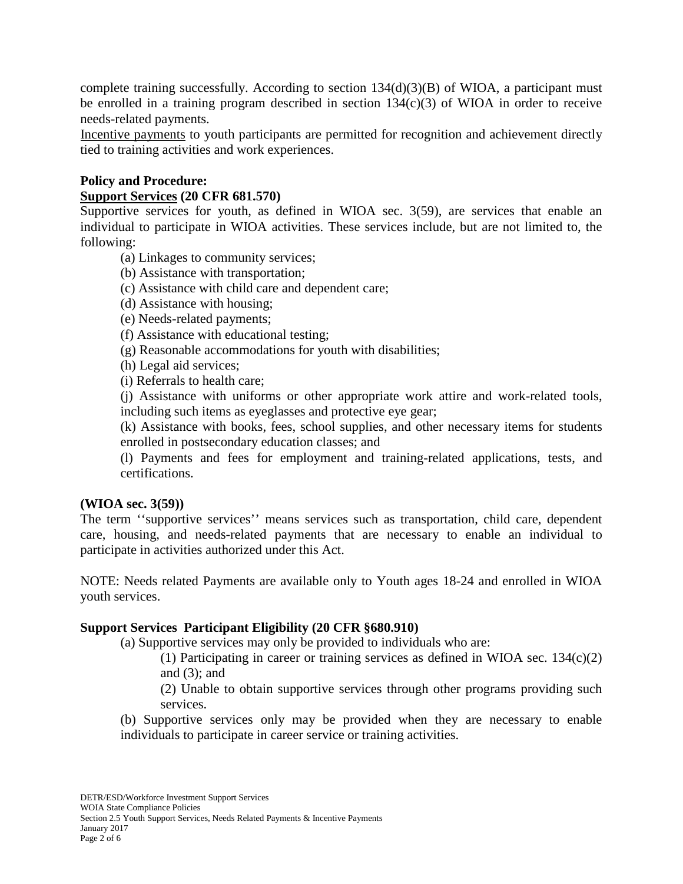complete training successfully. According to section  $134(d)(3)(B)$  of WIOA, a participant must be enrolled in a training program described in section 134(c)(3) of WIOA in order to receive needs-related payments.

Incentive payments to youth participants are permitted for recognition and achievement directly tied to training activities and work experiences.

## **Policy and Procedure:**

#### **Support Services (20 CFR 681.570)**

Supportive services for youth, as defined in WIOA sec. 3(59), are services that enable an individual to participate in WIOA activities. These services include, but are not limited to, the following:

- (a) Linkages to community services;
- (b) Assistance with transportation;
- (c) Assistance with child care and dependent care;
- (d) Assistance with housing;
- (e) Needs-related payments;
- (f) Assistance with educational testing;
- (g) Reasonable accommodations for youth with disabilities;
- (h) Legal aid services;
- (i) Referrals to health care;

(j) Assistance with uniforms or other appropriate work attire and work-related tools, including such items as eyeglasses and protective eye gear;

(k) Assistance with books, fees, school supplies, and other necessary items for students enrolled in postsecondary education classes; and

(l) Payments and fees for employment and training-related applications, tests, and certifications.

#### **(WIOA sec. 3(59))**

The term ''supportive services'' means services such as transportation, child care, dependent care, housing, and needs-related payments that are necessary to enable an individual to participate in activities authorized under this Act.

NOTE: Needs related Payments are available only to Youth ages 18-24 and enrolled in WIOA youth services.

#### **Support Services Participant Eligibility (20 CFR §680.910)**

(a) Supportive services may only be provided to individuals who are:

(1) Participating in career or training services as defined in WIOA sec. 134(c)(2) and  $(3)$ ; and

(2) Unable to obtain supportive services through other programs providing such services.

(b) Supportive services only may be provided when they are necessary to enable individuals to participate in career service or training activities.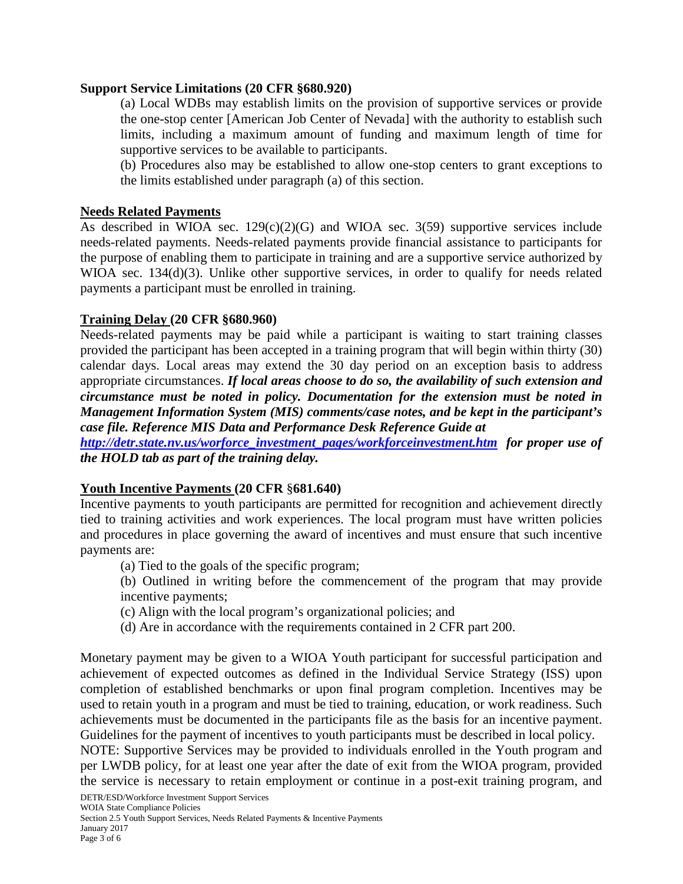## **Support Service Limitations (20 CFR §680.920)**

(a) Local WDBs may establish limits on the provision of supportive services or provide the one-stop center [American Job Center of Nevada] with the authority to establish such limits, including a maximum amount of funding and maximum length of time for supportive services to be available to participants.

(b) Procedures also may be established to allow one-stop centers to grant exceptions to the limits established under paragraph (a) of this section.

## **Needs Related Payments**

As described in WIOA sec.  $129(c)(2)(G)$  and WIOA sec.  $3(59)$  supportive services include needs-related payments. Needs-related payments provide financial assistance to participants for the purpose of enabling them to participate in training and are a supportive service authorized by WIOA sec. 134(d)(3). Unlike other supportive services, in order to qualify for needs related payments a participant must be enrolled in training.

## **Training Delay (20 CFR §680.960)**

Needs-related payments may be paid while a participant is waiting to start training classes provided the participant has been accepted in a training program that will begin within thirty (30) calendar days. Local areas may extend the 30 day period on an exception basis to address appropriate circumstances. *If local areas choose to do so, the availability of such extension and circumstance must be noted in policy. Documentation for the extension must be noted in Management Information System (MIS) comments/case notes, and be kept in the participant's case file. Reference MIS Data and Performance Desk Reference Guide at*

*[http://detr.state.nv.us/worforce\\_investment\\_pages/workforceinvestment.htm](http://detr.state.nv.us/worforce_investment_pages/workforceinvestment.htm) for proper use of the HOLD tab as part of the training delay.*

# **Youth Incentive Payments (20 CFR** §**681.640)**

Incentive payments to youth participants are permitted for recognition and achievement directly tied to training activities and work experiences. The local program must have written policies and procedures in place governing the award of incentives and must ensure that such incentive payments are:

(a) Tied to the goals of the specific program;

(b) Outlined in writing before the commencement of the program that may provide incentive payments;

- (c) Align with the local program's organizational policies; and
- (d) Are in accordance with the requirements contained in 2 CFR part 200.

Monetary payment may be given to a WIOA Youth participant for successful participation and achievement of expected outcomes as defined in the Individual Service Strategy (ISS) upon completion of established benchmarks or upon final program completion. Incentives may be used to retain youth in a program and must be tied to training, education, or work readiness. Such achievements must be documented in the participants file as the basis for an incentive payment. Guidelines for the payment of incentives to youth participants must be described in local policy.

NOTE: Supportive Services may be provided to individuals enrolled in the Youth program and per LWDB policy, for at least one year after the date of exit from the WIOA program, provided the service is necessary to retain employment or continue in a post-exit training program, and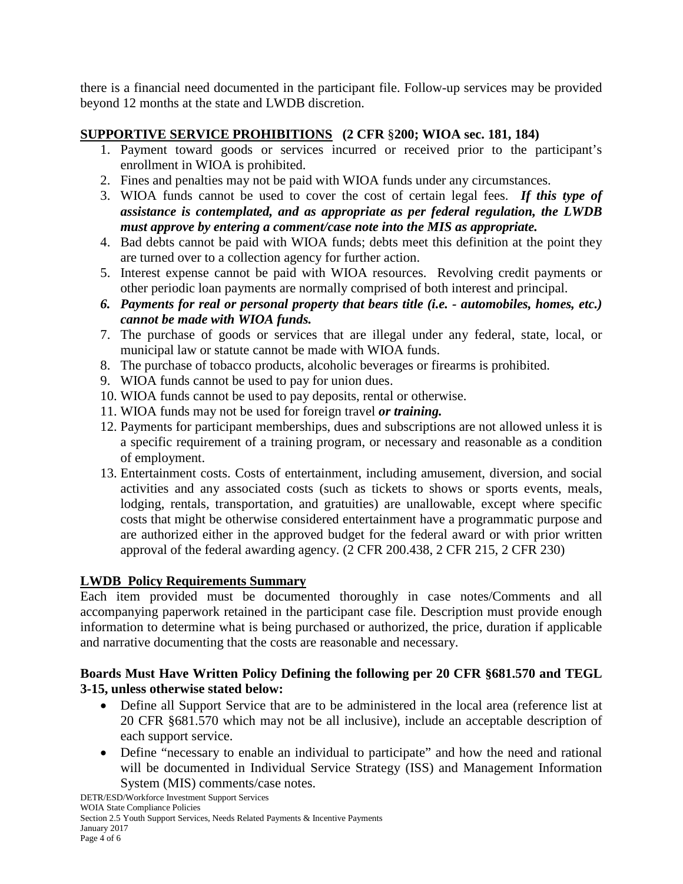there is a financial need documented in the participant file. Follow-up services may be provided beyond 12 months at the state and LWDB discretion.

# **SUPPORTIVE SERVICE PROHIBITIONS (2 CFR** §**200; WIOA sec. 181, 184)**

- 1. Payment toward goods or services incurred or received prior to the participant's enrollment in WIOA is prohibited.
- 2. Fines and penalties may not be paid with WIOA funds under any circumstances.
- 3. WIOA funds cannot be used to cover the cost of certain legal fees. *If this type of assistance is contemplated, and as appropriate as per federal regulation, the LWDB must approve by entering a comment/case note into the MIS as appropriate.*
- 4. Bad debts cannot be paid with WIOA funds; debts meet this definition at the point they are turned over to a collection agency for further action.
- 5. Interest expense cannot be paid with WIOA resources. Revolving credit payments or other periodic loan payments are normally comprised of both interest and principal.
- *6. Payments for real or personal property that bears title (i.e. - automobiles, homes, etc.) cannot be made with WIOA funds.*
- 7. The purchase of goods or services that are illegal under any federal, state, local, or municipal law or statute cannot be made with WIOA funds.
- 8. The purchase of tobacco products, alcoholic beverages or firearms is prohibited.
- 9. WIOA funds cannot be used to pay for union dues.
- 10. WIOA funds cannot be used to pay deposits, rental or otherwise.
- 11. WIOA funds may not be used for foreign travel *or training.*
- 12. Payments for participant memberships, dues and subscriptions are not allowed unless it is a specific requirement of a training program, or necessary and reasonable as a condition of employment.
- 13. Entertainment costs. Costs of entertainment, including amusement, diversion, and social activities and any associated costs (such as tickets to shows or sports events, meals, lodging, rentals, transportation, and gratuities) are unallowable, except where specific costs that might be otherwise considered entertainment have a programmatic purpose and are authorized either in the approved budget for the federal award or with prior written approval of the federal awarding agency. (2 CFR 200.438, 2 CFR 215, 2 CFR 230)

# **LWDB Policy Requirements Summary**

Each item provided must be documented thoroughly in case notes/Comments and all accompanying paperwork retained in the participant case file. Description must provide enough information to determine what is being purchased or authorized, the price, duration if applicable and narrative documenting that the costs are reasonable and necessary.

# **Boards Must Have Written Policy Defining the following per 20 CFR §681.570 and TEGL 3-15, unless otherwise stated below:**

- Define all Support Service that are to be administered in the local area (reference list at 20 CFR §681.570 which may not be all inclusive), include an acceptable description of each support service.
- Define "necessary to enable an individual to participate" and how the need and rational will be documented in Individual Service Strategy (ISS) and Management Information System (MIS) comments/case notes.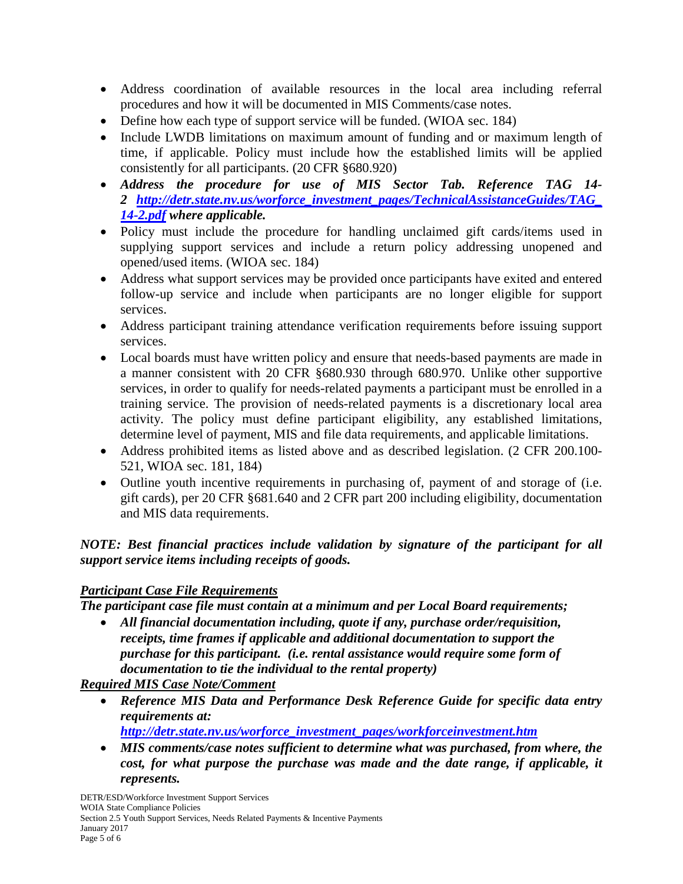- Address coordination of available resources in the local area including referral procedures and how it will be documented in MIS Comments/case notes.
- Define how each type of support service will be funded. (WIOA sec. 184)
- Include LWDB limitations on maximum amount of funding and or maximum length of time, if applicable. Policy must include how the established limits will be applied consistently for all participants. (20 CFR §680.920)
- *Address the procedure for use of MIS Sector Tab. Reference TAG 14- 2 [http://detr.state.nv.us/worforce\\_investment\\_pages/TechnicalAssistanceGuides/TAG\\_](http://detr.state.nv.us/worforce_investment_pages/TechnicalAssistanceGuides/TAG_14-2.pdf) [14-2.pdf](http://detr.state.nv.us/worforce_investment_pages/TechnicalAssistanceGuides/TAG_14-2.pdf) where applicable.*
- Policy must include the procedure for handling unclaimed gift cards/items used in supplying support services and include a return policy addressing unopened and opened/used items. (WIOA sec. 184)
- Address what support services may be provided once participants have exited and entered follow-up service and include when participants are no longer eligible for support services.
- Address participant training attendance verification requirements before issuing support services.
- Local boards must have written policy and ensure that needs-based payments are made in a manner consistent with 20 CFR §680.930 through 680.970. Unlike other supportive services, in order to qualify for needs-related payments a participant must be enrolled in a training service. The provision of needs-related payments is a discretionary local area activity. The policy must define participant eligibility, any established limitations, determine level of payment, MIS and file data requirements, and applicable limitations.
- Address prohibited items as listed above and as described legislation. (2 CFR 200.100- 521, WIOA sec. 181, 184)
- Outline youth incentive requirements in purchasing of, payment of and storage of (i.e. gift cards), per 20 CFR §681.640 and 2 CFR part 200 including eligibility, documentation and MIS data requirements.

*NOTE: Best financial practices include validation by signature of the participant for all support service items including receipts of goods.* 

# *Participant Case File Requirements*

*The participant case file must contain at a minimum and per Local Board requirements;*

• *All financial documentation including, quote if any, purchase order/requisition, receipts, time frames if applicable and additional documentation to support the purchase for this participant. (i.e. rental assistance would require some form of documentation to tie the individual to the rental property)*

*Required MIS Case Note/Comment*

- *Reference MIS Data and Performance Desk Reference Guide for specific data entry requirements at:*
	- *[http://detr.state.nv.us/worforce\\_investment\\_pages/workforceinvestment.htm](http://detr.state.nv.us/worforce_investment_pages/workforceinvestment.htm)*
- *MIS comments/case notes sufficient to determine what was purchased, from where, the cost, for what purpose the purchase was made and the date range, if applicable, it represents.*